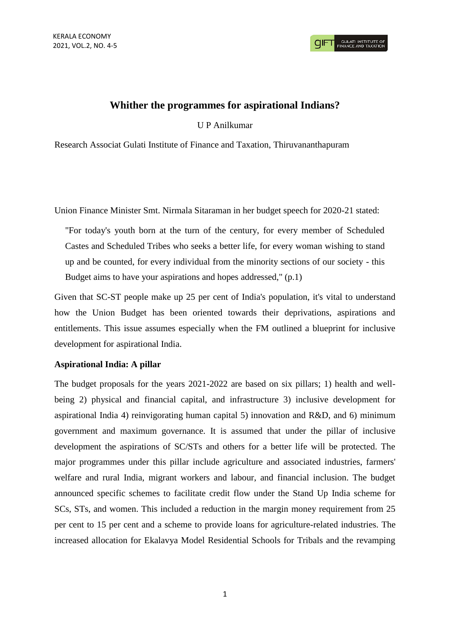# **Whither the programmes for aspirational Indians?**

U P Anilkumar

Research Associat Gulati Institute of Finance and Taxation, Thiruvananthapuram

Union Finance Minister Smt. Nirmala Sitaraman in her budget speech for 2020-21 stated:

"For today's youth born at the turn of the century, for every member of Scheduled Castes and Scheduled Tribes who seeks a better life, for every woman wishing to stand up and be counted, for every individual from the minority sections of our society - this Budget aims to have your aspirations and hopes addressed," (p.1)

Given that SC-ST people make up 25 per cent of India's population, it's vital to understand how the Union Budget has been oriented towards their deprivations, aspirations and entitlements. This issue assumes especially when the FM outlined a blueprint for inclusive development for aspirational India.

# **Aspirational India: A pillar**

The budget proposals for the years 2021-2022 are based on six pillars; 1) health and wellbeing 2) physical and financial capital, and infrastructure 3) inclusive development for aspirational India 4) reinvigorating human capital 5) innovation and R&D, and 6) minimum government and maximum governance. It is assumed that under the pillar of inclusive development the aspirations of SC/STs and others for a better life will be protected. The major programmes under this pillar include agriculture and associated industries, farmers' welfare and rural India, migrant workers and labour, and financial inclusion. The budget announced specific schemes to facilitate credit flow under the Stand Up India scheme for SCs, STs, and women. This included a reduction in the margin money requirement from 25 per cent to 15 per cent and a scheme to provide loans for agriculture-related industries. The increased allocation for Ekalavya Model Residential Schools for Tribals and the revamping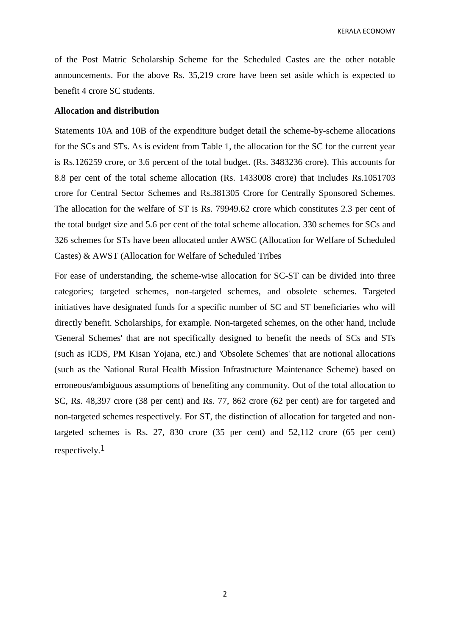KERALA ECONOMY

of the Post Matric Scholarship Scheme for the Scheduled Castes are the other notable announcements. For the above Rs. 35,219 crore have been set aside which is expected to benefit 4 crore SC students.

# **Allocation and distribution**

Statements 10A and 10B of the expenditure budget detail the scheme-by-scheme allocations for the SCs and STs. As is evident from Table 1, the allocation for the SC for the current year is Rs.126259 crore, or 3.6 percent of the total budget. (Rs. 3483236 crore). This accounts for 8.8 per cent of the total scheme allocation (Rs. 1433008 crore) that includes Rs.1051703 crore for Central Sector Schemes and Rs.381305 Crore for Centrally Sponsored Schemes. The allocation for the welfare of ST is Rs. 79949.62 crore which constitutes 2.3 per cent of the total budget size and 5.6 per cent of the total scheme allocation. 330 schemes for SCs and 326 schemes for STs have been allocated under AWSC (Allocation for Welfare of Scheduled Castes) & AWST (Allocation for Welfare of Scheduled Tribes

For ease of understanding, the scheme-wise allocation for SC-ST can be divided into three categories; targeted schemes, non-targeted schemes, and obsolete schemes. Targeted initiatives have designated funds for a specific number of SC and ST beneficiaries who will directly benefit. Scholarships, for example. Non-targeted schemes, on the other hand, include 'General Schemes' that are not specifically designed to benefit the needs of SCs and STs (such as ICDS, PM Kisan Yojana, etc.) and 'Obsolete Schemes' that are notional allocations (such as the National Rural Health Mission Infrastructure Maintenance Scheme) based on erroneous/ambiguous assumptions of benefiting any community. Out of the total allocation to SC, Rs. 48,397 crore (38 per cent) and Rs. 77, 862 crore (62 per cent) are for targeted and non-targeted schemes respectively. For ST, the distinction of allocation for targeted and nontargeted schemes is Rs. 27, 830 crore (35 per cent) and 52,112 crore (65 per cent) respectively.<sup>1</sup>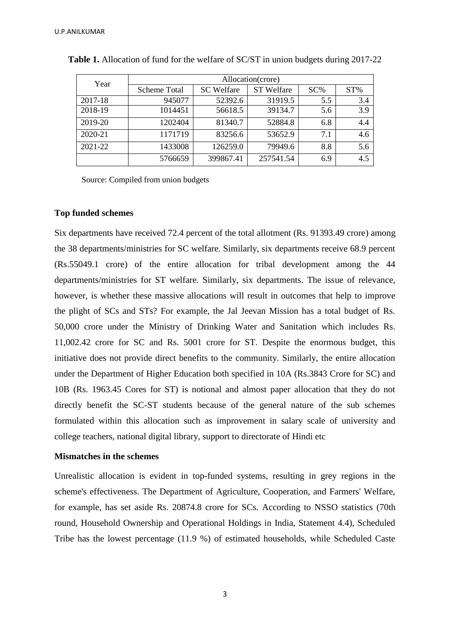| Year    | Allocation(crore) |                   |                   |        |        |  |  |  |
|---------|-------------------|-------------------|-------------------|--------|--------|--|--|--|
|         | Scheme Total      | <b>SC</b> Welfare | <b>ST</b> Welfare | $SC\%$ | $ST\%$ |  |  |  |
| 2017-18 | 945077            | 52392.6           | 31919.5           | 5.5    | 3.4    |  |  |  |
| 2018-19 | 1014451           | 56618.5           | 39134.7           | 5.6    | 3.9    |  |  |  |
| 2019-20 | 1202404           | 81340.7           | 52884.8           | 6.8    | 4.4    |  |  |  |
| 2020-21 | 1171719           | 83256.6           | 53652.9           | 7.1    | 4.6    |  |  |  |
| 2021-22 | 1433008           | 126259.0          | 79949.6           | 8.8    | 5.6    |  |  |  |
|         | 5766659           | 399867.41         | 257541.54         | 6.9    | 4.5    |  |  |  |

| <b>Table 1.</b> Allocation of fund for the welfare of SC/ST in union budgets during 2017-22 |  |  |  |  |  |
|---------------------------------------------------------------------------------------------|--|--|--|--|--|
|                                                                                             |  |  |  |  |  |

Source: Compiled from union budgets

#### **Top funded schemes**

Six departments have received 72.4 percent of the total allotment (Rs. 91393.49 crore) among the 38 departments/ministries for SC welfare. Similarly, six departments receive 68.9 percent (Rs.55049.1 crore) of the entire allocation for tribal development among the 44 departments/ministries for ST welfare. Similarly, six departments. The issue of relevance, however, is whether these massive allocations will result in outcomes that help to improve the plight of SCs and STs? For example, the Jal Jeevan Mission has a total budget of Rs. 50,000 crore under the Ministry of Drinking Water and Sanitation which includes Rs. 11,002.42 crore for SC and Rs. 5001 crore for ST. Despite the enormous budget, this initiative does not provide direct benefits to the community. Similarly, the entire allocation under the Department of Higher Education both specified in 10A (Rs.3843 Crore for SC) and 10B (Rs. 1963.45 Cores for ST) is notional and almost paper allocation that they do not directly benefit the SC-ST students because of the general nature of the sub schemes formulated within this allocation such as improvement in salary scale of university and college teachers, national digital library, support to directorate of Hindi etc

### **Mismatches in the schemes**

Unrealistic allocation is evident in top-funded systems, resulting in grey regions in the scheme's effectiveness. The Department of Agriculture, Cooperation, and Farmers' Welfare, for example, has set aside Rs. 20874.8 crore for SCs. According to NSSO statistics (70th round, Household Ownership and Operational Holdings in India, Statement 4.4), Scheduled Tribe has the lowest percentage (11.9 %) of estimated households, while Scheduled Caste

3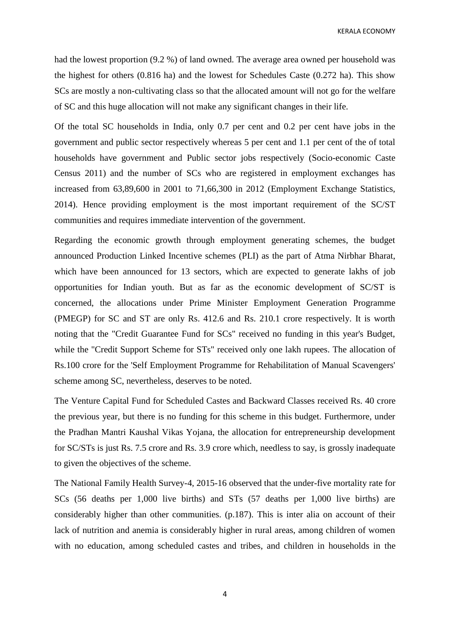KERALA ECONOMY

had the lowest proportion (9.2 %) of land owned. The average area owned per household was the highest for others (0.816 ha) and the lowest for Schedules Caste (0.272 ha). This show SCs are mostly a non-cultivating class so that the allocated amount will not go for the welfare of SC and this huge allocation will not make any significant changes in their life.

Of the total SC households in India, only 0.7 per cent and 0.2 per cent have jobs in the government and public sector respectively whereas 5 per cent and 1.1 per cent of the of total households have government and Public sector jobs respectively (Socio-economic Caste Census 2011) and the number of SCs who are registered in employment exchanges has increased from 63,89,600 in 2001 to 71,66,300 in 2012 (Employment Exchange Statistics, 2014). Hence providing employment is the most important requirement of the SC/ST communities and requires immediate intervention of the government.

Regarding the economic growth through employment generating schemes, the budget announced Production Linked Incentive schemes (PLI) as the part of Atma Nirbhar Bharat, which have been announced for 13 sectors, which are expected to generate lakhs of job opportunities for Indian youth. But as far as the economic development of SC/ST is concerned, the allocations under Prime Minister Employment Generation Programme (PMEGP) for SC and ST are only Rs. 412.6 and Rs. 210.1 crore respectively. It is worth noting that the "Credit Guarantee Fund for SCs" received no funding in this year's Budget, while the "Credit Support Scheme for STs" received only one lakh rupees. The allocation of Rs.100 crore for the 'Self Employment Programme for Rehabilitation of Manual Scavengers' scheme among SC, nevertheless, deserves to be noted.

The Venture Capital Fund for Scheduled Castes and Backward Classes received Rs. 40 crore the previous year, but there is no funding for this scheme in this budget. Furthermore, under the Pradhan Mantri Kaushal Vikas Yojana, the allocation for entrepreneurship development for SC/STs is just Rs. 7.5 crore and Rs. 3.9 crore which, needless to say, is grossly inadequate to given the objectives of the scheme.

The National Family Health Survey-4, 2015-16 observed that the under-five mortality rate for SCs (56 deaths per 1,000 live births) and STs (57 deaths per 1,000 live births) are considerably higher than other communities. (p.187). This is inter alia on account of their lack of nutrition and anemia is considerably higher in rural areas, among children of women with no education, among scheduled castes and tribes, and children in households in the